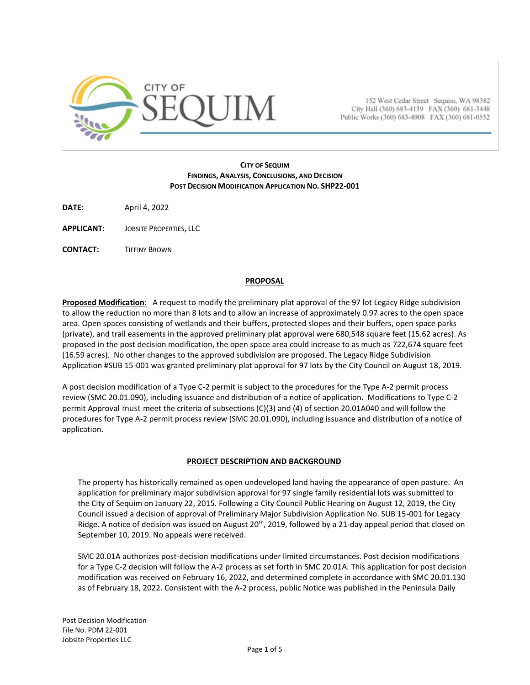

152 West Cedar Street Sequim, WA 98382 City Hall (360) 683-4139 FAX (360) 681-3448 Public Works (360) 683-4908 FAX (360) 681-0552

#### **CITY OF SEQUIM FINDINGS, ANALYSIS, CONCLUSIONS, AND DECISION POST DECISION MODIFICATION APPLICATION NO. SHP22-001**

**DATE:** April 4, 2022

**APPLICANT:** JOBSITE PROPERTIES, LLC

**CONTACT:** TIFFINY BROWN

#### **PROPOSAL**

**Proposed Modification**: A request to modify the preliminary plat approval of the 97 lot Legacy Ridge subdivision to allow the reduction no more than 8 lots and to allow an increase of approximately 0.97 acres to the open space area. Open spaces consisting of wetlands and their buffers, protected slopes and their buffers, open space parks (private), and trail easements in the approved preliminary plat approval were 680,548 square feet (15.62 acres). As proposed in the post decision modification, the open space area could increase to as much as 722,674 square feet (16.59 acres). No other changes to the approved subdivision are proposed. The Legacy Ridge Subdivision Application #SUB 15-001 was granted preliminary plat approval for 97 lots by the City Council on August 18, 2019.

A post decision modification of a Type C-2 permit is subject to the procedures for the Type A-2 permit process review (SMC 20.01.090), including issuance and distribution of a notice of application. Modifications to Type C-2 permit Approval must meet the criteria of subsections (C)(3) and (4) of section 20.01A040 and will follow the procedures for Type A-2 permit process review (SMC 20.01.090), including issuance and distribution of a notice of application.

# **PROJECT DESCRIPTION AND BACKGROUND**

The property has historically remained as open undeveloped land having the appearance of open pasture. An application for preliminary major subdivision approval for 97 single family residential lots was submitted to the City of Sequim on January 22, 2015. Following a City Council Public Hearing on August 12, 2019, the City Council issued a decision of approval of Preliminary Major Subdivision Application No. SUB 15-001 for Legacy Ridge. A notice of decision was issued on August 20<sup>th</sup>, 2019, followed by a 21-day appeal period that closed on September 10, 2019. No appeals were received.

SMC 20.01A authorizes post-decision modifications under limited circumstances. Post decision modifications for a Type C-2 decision will follow the A-2 process as set forth in SMC 20.01A. This application for post decision modification was received on February 16, 2022, and determined complete in accordance with SMC 20.01.130 as of February 18, 2022. Consistent with the A-2 process, public Notice was published in the Peninsula Daily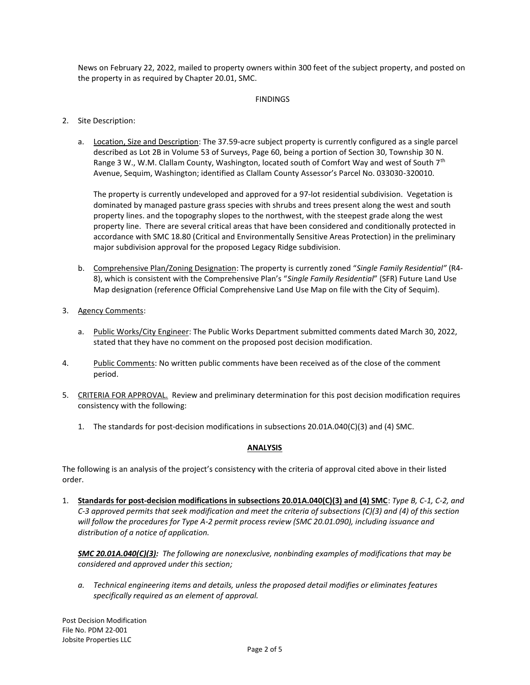News on February 22, 2022, mailed to property owners within 300 feet of the subject property, and posted on the property in as required by Chapter 20.01, SMC.

#### FINDINGS

- 2. Site Description:
	- a. Location, Size and Description: The 37.59-acre subject property is currently configured as a single parcel described as Lot 2B in Volume 53 of Surveys, Page 60, being a portion of Section 30, Township 30 N. Range 3 W., W.M. Clallam County, Washington, located south of Comfort Way and west of South 7<sup>th</sup> Avenue, Sequim, Washington; identified as Clallam County Assessor's Parcel No. 033030-320010.

The property is currently undeveloped and approved for a 97-lot residential subdivision. Vegetation is dominated by managed pasture grass species with shrubs and trees present along the west and south property lines. and the topography slopes to the northwest, with the steepest grade along the west property line. There are several critical areas that have been considered and conditionally protected in accordance with SMC 18.80 (Critical and Environmentally Sensitive Areas Protection) in the preliminary major subdivision approval for the proposed Legacy Ridge subdivision.

- b. Comprehensive Plan/Zoning Designation: The property is currently zoned "*Single Family Residential"* (R4- 8), which is consistent with the Comprehensive Plan's "*Single Family Residential*" (SFR) Future Land Use Map designation (reference Official Comprehensive Land Use Map on file with the City of Sequim).
- 3. Agency Comments:
	- a. Public Works/City Engineer: The Public Works Department submitted comments dated March 30, 2022, stated that they have no comment on the proposed post decision modification.
- 4. Public Comments: No written public comments have been received as of the close of the comment period.
- 5. CRITERIA FOR APPROVAL. Review and preliminary determination for this post decision modification requires consistency with the following:
	- 1. The standards for post-decision modifications in subsections 20.01A.040(C)(3) and (4) SMC.

# **ANALYSIS**

The following is an analysis of the project's consistency with the criteria of approval cited above in their listed order.

1. **Standards for post-decision modifications in subsections 20.01A.040(C)(3) and (4) SMC**: *Type B, C-1, C-2, and C-3 approved permits that seek modification and meet the criteria of subsections (C)(3) and (4) of this section will follow the procedures for Type A-2 permit process review (SMC 20.01.090), including issuance and distribution of a notice of application.*

*SMC 20.01A.040(C)(3): The following are nonexclusive, nonbinding examples of modifications that may be considered and approved under this section;*

*a. Technical engineering items and details, unless the proposed detail modifies or eliminates features specifically required as an element of approval.*

Post Decision Modification File No. PDM 22-001 Jobsite Properties LLC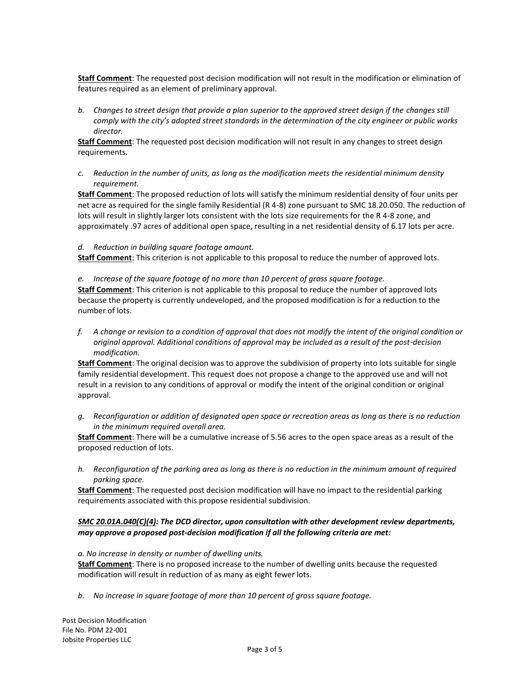**Staff Comment**: The requested post decision modification will not result in the modification or elimination of features required as an element of preliminary approval.

*b. Changes to street design that provide a plan superior to the approved street design if the changes still comply with the city's adopted street standards in the determination of the city engineer or public works director.*

**Staff Comment**: The requested post decision modification will not result in any changes to street design requirements.

*c. Reduction in the number of units, as long as the modification meets the residential minimum density requirement.*

**Staff Comment**: The proposed reduction of lots will satisfy the minimum residential density of four units per net acre as required for the single family Residential (R 4-8) zone pursuant to SMC 18.20.050. The reduction of lots will result in slightly larger lots consistent with the lots size requirements for the R 4-8 zone, and approximately .97 acres of additional open space, resulting in a net residential density of 6.17 lots per acre.

#### *d. Reduction in building square footage amount.*

**Staff Comment**: This criterion is not applicable to this proposal to reduce the number of approved lots.

*e. Increase of the square footage of no more than 10 percent of gross square footage.*

**Staff Comment**: This criterion is not applicable to this proposal to reduce the number of approved lots because the property is currently undeveloped, and the proposed modification is for a reduction to the number of lots.

*f. A change or revision to a condition of approval that does not modify the intent of the original condition or original approval. Additional conditions of approval may be included as a result of the post-decision modification.*

**Staff Comment**: The original decision was to approve the subdivision of property into lots suitable for single family residential development. This request does not propose a change to the approved use and will not result in a revision to any conditions of approval or modify the intent of the original condition or original approval.

*g. Reconfiguration or addition of designated open space or recreation areas as long as there is no reduction in the minimum required overall area.*

**Staff Comment**: There will be a cumulative increase of 5.56 acres to the open space areas as a result of the proposed reduction of lots.

*h. Reconfiguration of the parking area as long as there is no reduction in the minimum amount of required parking space.*

**Staff Comment**: The requested post decision modification will have no impact to the residential parking requirements associated with this propose residential subdivision.

# *SMC 20.01A.040(C)(4): The DCD director, upon consultation with other development review departments, may approve a proposed post-decision modification if all the following criteria are met:*

#### *a. No increase in density or number of dwelling units.*

**Staff Comment**: There is no proposed increase to the number of dwelling units because the requested modification will result in reduction of as many as eight fewer lots.

*b. No increase in square footage of more than 10 percent of gross square footage.*

Post Decision Modification File No. PDM 22-001 Jobsite Properties LLC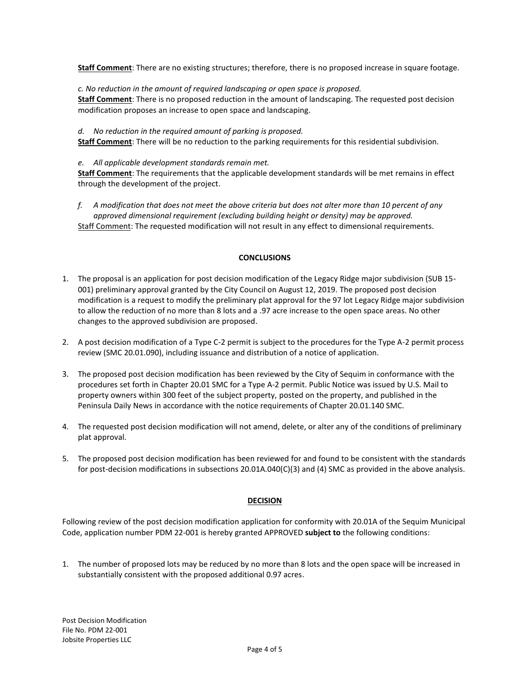**Staff Comment**: There are no existing structures; therefore, there is no proposed increase in square footage.

*c. No reduction in the amount of required landscaping or open space is proposed.*

**Staff Comment**: There is no proposed reduction in the amount of landscaping. The requested post decision modification proposes an increase to open space and landscaping.

*d. No reduction in the required amount of parking is proposed.*

**Staff Comment**: There will be no reduction to the parking requirements for this residential subdivision.

# *e. All applicable development standards remain met.*

**Staff Comment**: The requirements that the applicable development standards will be met remains in effect through the development of the project.

*f. A modification that does not meet the above criteria but does not alter more than 10 percent of any approved dimensional requirement (excluding building height or density) may be approved.* Staff Comment: The requested modification will not result in any effect to dimensional requirements.

# **CONCLUSIONS**

- 1. The proposal is an application for post decision modification of the Legacy Ridge major subdivision (SUB 15- 001) preliminary approval granted by the City Council on August 12, 2019. The proposed post decision modification is a request to modify the preliminary plat approval for the 97 lot Legacy Ridge major subdivision to allow the reduction of no more than 8 lots and a .97 acre increase to the open space areas. No other changes to the approved subdivision are proposed.
- 2. A post decision modification of a Type C-2 permit is subject to the procedures for the Type A-2 permit process review (SMC 20.01.090), including issuance and distribution of a notice of application.
- 3. The proposed post decision modification has been reviewed by the City of Sequim in conformance with the procedures set forth in Chapter 20.01 SMC for a Type A-2 permit. Public Notice was issued by U.S. Mail to property owners within 300 feet of the subject property, posted on the property, and published in the Peninsula Daily News in accordance with the notice requirements of Chapter 20.01.140 SMC.
- 4. The requested post decision modification will not amend, delete, or alter any of the conditions of preliminary plat approval.
- 5. The proposed post decision modification has been reviewed for and found to be consistent with the standards for post-decision modifications in subsections 20.01A.040(C)(3) and (4) SMC as provided in the above analysis.

# **DECISION**

Following review of the post decision modification application for conformity with 20.01A of the Sequim Municipal Code, application number PDM 22-001 is hereby granted APPROVED **subject to** the following conditions:

1. The number of proposed lots may be reduced by no more than 8 lots and the open space will be increased in substantially consistent with the proposed additional 0.97 acres.